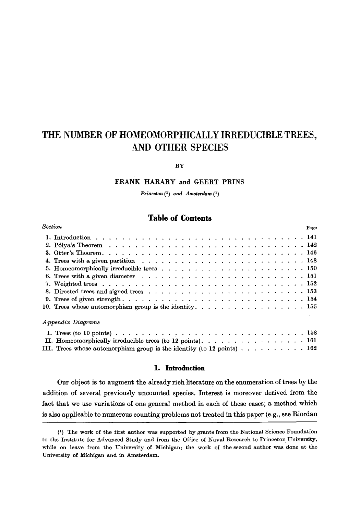# THE NUMBER OF HOMEOMORPHICALLY IRREDUCIBLE TREES, **AND OTHER SPECIES**

BY

## FRANK HARARY **and** GEERT PRINS

*Princeton* (1) *and Amsterdam* (1)

## **Table of Contents**

| Section |                                                                                                                              | Page |
|---------|------------------------------------------------------------------------------------------------------------------------------|------|
|         |                                                                                                                              |      |
|         |                                                                                                                              |      |
|         |                                                                                                                              |      |
|         |                                                                                                                              |      |
|         |                                                                                                                              |      |
|         | 6. Trees with a given diameter $\ldots$ $\ldots$ $\ldots$ $\ldots$ $\ldots$ $\ldots$ $\ldots$ $\ldots$ $\ldots$ $\ldots$ 151 |      |
|         |                                                                                                                              |      |
|         | 8. Directed trees and signed trees $\ldots \ldots \ldots \ldots \ldots \ldots \ldots \ldots \ldots \ldots \ldots 153$        |      |
|         |                                                                                                                              |      |
|         | 10. Trees whose automorphism group is the identity. $\ldots$ 155                                                             |      |
|         | Appendix Diagrams                                                                                                            |      |
|         |                                                                                                                              |      |
|         | II. Homeomorphically irreducible trees (to 12 points). $\ldots$ 161                                                          |      |
|         | III. Trees whose automorphism group is the identity (to 12 points) 162                                                       |      |

## **1. Introduction**

Our object is to augment the already rich literature on the enumeration of trees by the addition of several previously uncounted species. Interest is moreover derived from the fact that we use variations of one general method in each of these cases; a method which is also applicable to numerous counting problems not treated in this paper (e.g., see Riordan

Q) The work of the first author was supported by grants from the National Science Foundation to the Institute for Advanced Study and from the Office of Naval Research to Princeton University, while on leave from the University of Michigan; the work of the second author was done at the University of Michigan and in Amsterdam.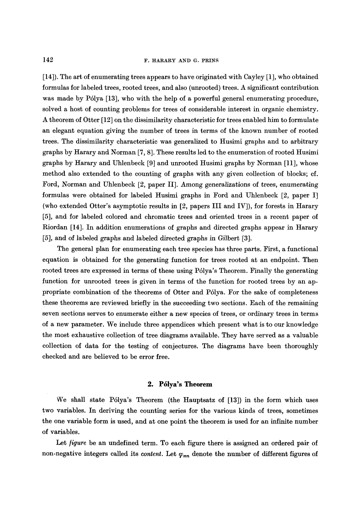[14]). The art of enumerating trees appears to have originated with Cayley [1], who obtained formulas for labeled trees, rooted trees, and also (unrooted) trees. A significant contribution was made by Pólya [13], who with the help of a powerful general enumerating procedure, solved a host of counting problems for trees of considerable interest in organic chemistry. A theorem of Otter [12] on the dissimilarity characteristic for trees enabled him to formulate an elegant equation giving the number of trees in terms of the known number of rooted trees. The dissimilarity characteristic was generalized to Husimi graphs and to arbitrary graphs by Harary and Norman [7, 8]. These results led to the enumeration of rooted Husimi graphs by Harary and Uhlenbeck [9] and unrooted Husimi graphs by Norman [11], whose method also extended to the counting of graphs with any given collection of blocks; cf. Ford, Norman and Uhlenbeck [2, paper II]. Among generalizations of trees, enumerating formulas were obtained for labeled Husimi graphs in Ford and Uhlenbeck [2, paper I] (who extended Otter's asymptotic results in  $[2,$  papers III and IV]), for forests in Harary [5], and for labeled colored and chromatic trees and oriented trees in a recent paper of Riordan [14]. In addition enumerations of graphs and directed graphs appear in Harary [5], and of labeled graphs and labeled directed graphs in Gilbert [3],

The general plan for enumerating each tree species has three parts. First, a functional equation is obtained for the generating function for trees rooted at an endpoint. Then rooted trees are expressed in terms of these using P61ya's Theorem. Finally the generating function for unrooted trees is given in terms of the function for rooted trees by an appropriate combination of the theorems of Otter and *P61ya.* For the sake of completeness these theorems are reviewed briefly in the succeeding two sections. Each of the remaining seven sections serves to enumerate either a new species of trees, or ordinary trees in terms of a new parameter. We include three appendices which present what is to our knowledge the most exhaustive collection of tree diagrams available. They have served as a valuable collection of data for the testing of conjectures. The diagrams have been thoroughly checked and are believed to be error free.

### **2. P61ya's Theorem**

We shall state Pólya's Theorem (the Hauptsatz of  $[13]$ ) in the form which uses two variables. In deriving the counting series for the various kinds of trees, sometimes the one variable form is used, and at one point the theorem is used for an infinite number of variables.

Let *figure* be an undefined term. To each figure there is assigned an ordered pair of non-negative integers called its *content*. Let  $\varphi_{mn}$  denote the number of different figures of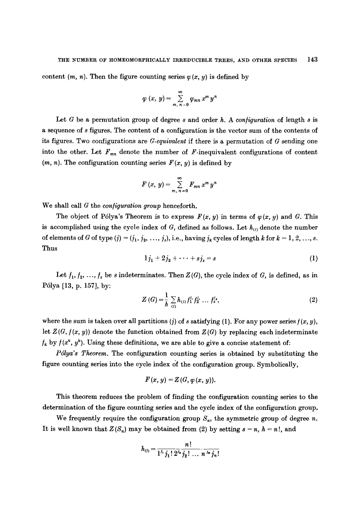content  $(m, n)$ . Then the figure counting series  $\varphi(x, y)$  is defined by

$$
\varphi(x, y) = \sum_{m, n=0}^{\infty} \varphi_{mn} x^m y^n
$$

Let  $G$  be a permutation group of degree  $s$  and order  $h$ . A *configuration* of length  $s$  is a sequence of s figures. The content of a configuration is the vector sum of the contents of its figures. Two configurations are *G-equivalent* if there is a permutation of G sending one into the other. Let  $F_{mn}$  denote the number of F-inequivalent configurations of content  $(m, n)$ . The configuration counting series  $F(x, y)$  is defined by

$$
F(x, y) = \sum_{m, n=0}^{\infty} F_{mn} x^m y^n
$$

We shall call G the *configuration group* henceforth.

The object of Pólya's Theorem is to express  $F(x, y)$  in terms of  $\varphi(x, y)$  and G. This is accomplished using the cycle index of G, defined as follows. Let  $h_{(i)}$  denote the number of elements of G of type  $(j) = (j_1, j_2, \ldots, j_s)$ , i.e., having  $j_k$  cycles of length k for  $k = 1, 2, \ldots, s$ . Thus

$$
1j_1 + 2j_2 + \cdots + sj_s = s \tag{1}
$$

Let  $f_1, f_2, \ldots, f_s$  be s indeterminates. Then  $Z(G)$ , the cycle index of G, is defined, as in Pólya [13, p. 157], by:

$$
Z(G) = \frac{1}{h} \sum_{(j)} h_{(j)} f_1^{j_1} f_2^{j_2} \dots f_s^{j_s},
$$
 (2)

where the sum is taken over all partitions (j) of s satisfying (1). For any power series  $f(x, y)$ , let  $Z(G, f(x, y))$  denote the function obtained from  $Z(G)$  by replacing each indeterminate  $f_k$  by  $f(x^k, y^k)$ . Using these definitions, we are able to give a concise statement of:

*P61ya's Theorem.* The configuration counting series is obtained by substituting the figure counting series into the cycle index of the configuration group. Symbolically,

$$
F(x, y) = Z(G, \varphi(x, y)).
$$

This theorem reduces the problem of finding the configuration counting series to the determination of the figure counting series and the cycle index of the configuration group.

We frequently require the configuration group  $S_n$ , the symmetric group of degree n. It is well known that  $Z(S_n)$  may be obtained from (2) by setting  $s = n$ ,  $h = n!$ , and

$$
h_{(j)} = \frac{n!}{1^{j_1} j_1! \, 2^{j_1} j_2! \, \ldots \, n^{j_n} j_n!}
$$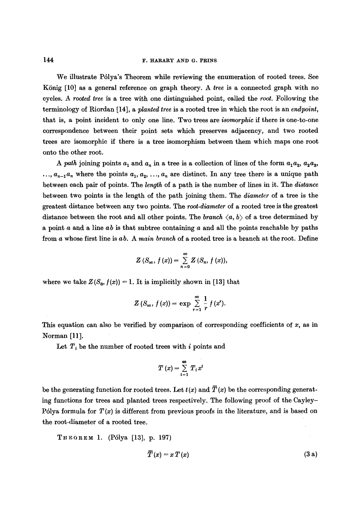## 144 F. HARARY AND G. PRINS

We illustrate P61ya's Theorem while reviewing the enumeration of rooted trees. See König [10] as a general reference on graph theory. A *tree* is a connected graph with no eyeIes. A *rooted tree* is a tree with one distinguished point, called the *root.* Following the terminology of Riordan [14], a *planted tree* is a rooted tree in which the root is an *endpoint,*  that is, a point incident to only one line. Two trees are *isomorphic if* there is one-to-one correspondence between their point sets which preserves adjacency, and two rooted trees are isomorphic if there is a tree isomorphism between them which maps one root onto the other root.

*A path* joining points  $a_1$  and  $a_n$  in a tree is a collection of lines of the form  $a_1a_2$ ,  $a_2a_3$ ,  $\ldots$ ,  $a_{n-1}a_n$  where the points  $a_1, a_2, \ldots, a_n$  are distinct. In any tree there is a unique path between each pair of points. The *length* of a path is the number of lines in it. The *distance*  between two points is the length of the path joining them. The *diameter* of a tree is the greatest distance between any two points. The *root-diameter* of a rooted tree is the greatest distance between the root and all other points. The *branch*  $\langle a, b \rangle$  of a tree determined by a point a and a line *ab* is that subtree containing a and all the points reachable by paths from a whose first line is *ab. A main branch* of a rooted tree is a branch at the root. Define

$$
Z(S_{\infty}, f(x)) = \sum_{n=0}^{\infty} Z(S_n, f(x)),
$$

where we take  $Z(S_0, f(x)) = 1$ . It is implicitly shown in [13] that

$$
Z(S_{\infty}, f(x)) = \exp \sum_{r=1}^{\infty} \frac{1}{r} f(x^{r}).
$$

This equation can also be verified by comparison of corresponding coefficients of  $x$ , as in Norman [11].

Let  $T_i$  be the number of rooted trees with i points and

$$
T(x) = \sum_{i=1}^{\infty} T_i x^i
$$

be the generating function for rooted trees. Let  $t(x)$  and  $\overline{T}(x)$  be the corresponding generating functions for trees and planted trees respectively. The following proof of the Cayley-P61ya formula for  $T(x)$  is different from previous proofs in the literature, and is based on the root-diameter of a rooted tree.

**THEOREM** 1. (P61ya **[13], p. 197)** 

$$
\overline{T}(x) = x T(x) \tag{3 a}
$$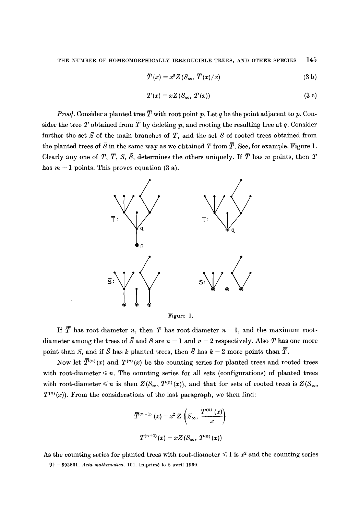$$
\overline{T}(x) = x^2 Z(S_{\infty}, \overline{T}(x)/x) \tag{3 b}
$$

$$
T(x) = xZ(S_{\infty}, T(x))
$$
 (3 c)

*Proof.* Consider a planted tree  $\overline{T}$  with root point p. Let q be the point adjacent to p. Consider the tree T obtained from  $\overline{T}$  by deleting p, and rooting the resulting tree at q. Consider further the set  $\overline{S}$  of the main branches of T, and the set S of rooted trees obtained from the planted trees of  $\bar{S}$  in the same way as we obtained T from  $\bar{T}$ . See, for example, Figure 1. Clearly any one of T,  $\overline{T}$ , S,  $\overline{S}$ , determines the others uniquely. If  $\overline{T}$  has m points, then T has  $m - 1$  points. This proves equation (3 a).



Figure 1.

If  $\overline{T}$  has root-diameter n, then T has root-diameter  $n-1$ , and the maximum rootdiameter among the trees of  $\bar{S}$  and  $S$  are  $n - 1$  and  $n - 2$  respectively. Also T has one more point than S, and if  $\bar{S}$  has k planted trees, then  $\bar{S}$  has  $k - 2$  more points than  $\bar{T}$ .

Now let  $\overline{T}^{(n)}(x)$  and  $T^{(n)}(x)$  be the counting series for planted trees and rooted trees with root-diameter  $\leq n$ . The counting series for all sets (configurations) of planted trees with root-diameter  $\leq n$  is then  $Z(S_{\infty}, \overline{T}^{(n)}(x))$ , and that for sets of rooted trees is  $Z(S_{\infty},$  $T^{(n)}(x)$ . From the considerations of the last paragraph, we then find:

$$
\overline{T}^{(n+1)}(x) = x^2 Z \left( S_{\infty}, \frac{\overline{T}^{(n)}(x)}{x} \right)
$$

$$
T^{(n+1)}(x) = x Z(S_{\infty}, T^{(n)}(x))
$$

As the counting series for planted trees with root-diameter  $\leq 1$  is  $x^2$  and the counting series 9t - 593801. *Acta mathematlca.* 101. Imprim6 le 8 avril 1959.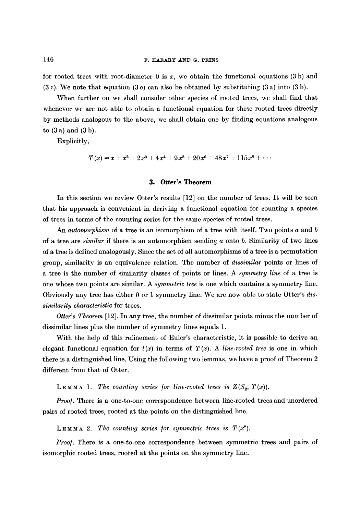for rooted trees with root-diameter  $0$  is  $x$ , we obtain the functional equations (3 b) and (3 c). We note that equation (3 c) can also be obtained by substituting (3 a) into (3 b).

When further on we shall consider other species of rooted trees, we shall find that whenever we are not able to obtain a functional equation for these rooted trees directly by methods analogous to the above, we shall obtain one by finding equations analogous to (3 a) and (3 b).

Explicitly,

$$
T(x) = x + x^2 + 2x^3 + 4x^4 + 9x^5 + 20x^6 + 48x^7 + 115x^8 + \cdots
$$

## **3. Otter's Theorem**

In this section we review Otter's results [12] on the number of trees. It will be seen that his approach is convenient in deriving a functional equation for counting a species of trees in terms of the counting series for the same species of rooted trees.

*An automorphism* of a tree is an isomorphism of a tree with itself. Two points a and b of a tree are *similar* if there is an automorphism sending a onto b. Similarity of two lines of a tree is defined analogously. Since the set of all automorphisms of a tree is a permutation group, similarity is an equivalence relation. The number of *dissimilar* points or lines of a tree is the number of similarity classes of points or lines. A *symmetry line* of a tree is one whose two points are similar. A *symmetric tree* is one which contains a symmetry line. Obviously any tree has either 0 or 1 symmetry line. We are now able to state Otter's *dis. similarity characteristic* for trees.

*Otter's Theorem* [12]. In any tree, the number of dissimilar points minus the number of dissimilar lines plus the number of symmetry lines equals 1.

With the help of this refinement of Euler's characteristic, it is possible to derive an elegant functional equation for  $t(x)$  in terms of  $T(x)$ . A line-rooted tree is one in which there is a distinguished line. Using the following two lemmas, we have a proof of Theorem 2 different from that of Otter.

LEMMA 1. The counting series for line-rooted trees is  $Z(S_2, T(x))$ .

*Proof.* There is a one-to-one correspondence between line-rooted trees and unordered pairs of rooted trees, rooted at the points on the distinguished line.

LEMMA 2. The counting series for symmetric trees is  $T(x^2)$ .

*Proof.* There is a one-to-one correspondence between symmetric trees and pairs of isomorphic rooted trees, rooted at the points on the symmetry line.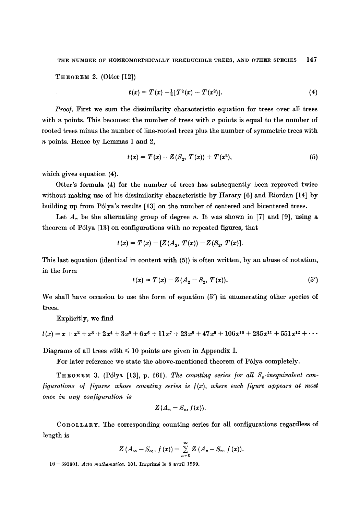THEOREM 2. (Otter [12])

$$
t(x) = T(x) - \frac{1}{2}[T^2(x) - T(x^2)]. \tag{4}
$$

*Proof.* First we sum the dissimilarity characteristic equation for trees over all trees with  $n$  points. This becomes: the number of trees with  $n$  points is equal to the number of rooted trees minus the number of line-rooted trees plus the number of symmetric trees with n points. Hence by Lemmas 1 and 2,

$$
t(x) = T(x) - Z(S_2, T(x)) + T(x^2), \tag{5}
$$

which gives equation (4).

Otter's formula (4) for the number of trees has subsequently been reproved twice without making use of his dissimilarity characteristic by Harary [6] and Riordan [14] by building up from Pólya's results [13] on the number of centered and bicentered trees.

Let  $A_n$  be the alternating group of degree n. It was shown in [7] and [9], using a theorem of Pólya [13] on configurations with no repeated figures, that

$$
t(x) = T(x) - [Z(A_2, T(x)) - Z(S_2, T(x))].
$$

This last equation (identical in content with (5)) is often written, by an abuse of notation, in the form

$$
t(x) = T(x) - Z(A_2 - S_2, T(x)).
$$
 (5')

We shall have occasion to use the form of equation (5') in enumerating other species of trees.

Explicitly, we find

$$
t(x) = x + x^2 + x^3 + 2x^4 + 3x^5 + 6x^6 + 11x^7 + 23x^8 + 47x^9 + 106x^{10} + 235x^{11} + 551x^{12} + \cdots
$$

Diagrams of all trees with  $\leq 10$  points are given in Appendix I.

For later reference we state the above-mentioned theorem of P61ya completely.

THEOREM 3. (P61ya [13], p. 161). *The counting series /or all Sn-inequivalent con* $figurations of figures whose counting series is  $f(x)$ , where each figure appears at most$ *once in any con/iguration is* 

$$
Z(A_n-S_n,f(x)).
$$

COROLLARY. The corresponding counting series for all configurations regardless of length is

$$
Z(A_{\infty}-S_{\infty}, f(x))=\sum_{n=0}^{\infty}Z(A_{n}-S_{n}, f(x)).
$$

<sup>10-593801.</sup> *Acta mathematica*. 101. Imprimé le 8 avril 1959.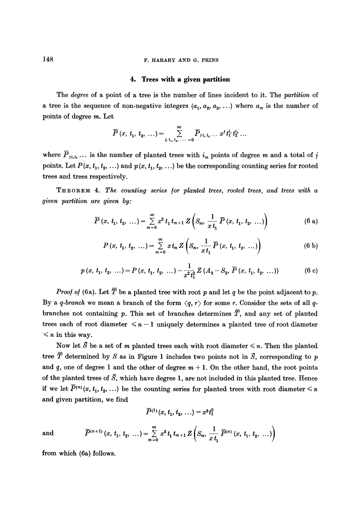## 148 F. HARARY AND G. PRINS

### **4. Trees with a given partition**

The *degree* of a point of a tree is the number of lines incident to it. The *partition* of a tree is the sequence of non-negative integers  $(a_1, a_2, a_3, \ldots)$  where  $a_m$  is the number of points of degree m. Let

$$
\overline{P}(x, t_1, t_2, \ldots) = \sum_{j, t_1, t_2, \ldots, t_n = 0}^{\infty} \overline{P}_{j t_1 t_2, \ldots, t_n} t_1^{t_1} t_2^{t_2} \ldots
$$

where  $\overline{P}_{j_{i_1i_2}}\ldots$  is the number of planted trees with  $i_m$  points of degree m and a total of j points. Let  $P(x, t_1, t_2, ...)$  and  $p(x, t_1, t_2, ...)$  be the corresponding counting series for rooted trees and trees respectively.

THEOREM 4. *The counting series /or planted trees, rooted trees, and trees with a given partition are given by:* 

$$
\overline{P}(x, t_1, t_2, \ldots) = \sum_{m=0}^{\infty} x^2 t_1 t_{m+1} Z\left(S_m, \frac{1}{x t_1} \overline{P}(x, t_1, t_2, \ldots)\right)
$$
(6 a)

$$
P(x, t_1, t_2, \ldots) = \sum_{m=0}^{\infty} x t_m Z\left(S_m, \frac{1}{x t_1} \overline{P}(x, t_1, t_2, \ldots)\right)
$$
(6 b)

$$
p(x, t_1, t_2, \ldots) = P(x, t_1, t_2, \ldots) - \frac{1}{x^2 t_1^2} Z(A_2 - S_2, \overline{P}(x, t_1, t_2, \ldots))
$$
(6 c)

*Proof of* (6a). Let  $\overline{T}$  be a planted tree with root p and let q be the point adjacent to p. By a *q-branch* we mean a branch of the form  $\langle q, r \rangle$  for some r. Consider the sets of all *q*branches not containing  $p$ . This set of branches determines  $\overline{T}$ , and any set of planted trees each of root diameter  $\leq n-1$  uniquely determines a planted tree of root diameter  $\leq n$  in this way.

Now let  $\bar{S}$  be a set of m planted trees each with root diameter  $\leq n$ . Then the planted tree  $\overline{T}$  determined by S as in Figure 1 includes two points not in  $\overline{S}$ , corresponding to p and q, one of degree 1 and the other of degree  $m + 1$ . On the other hand, the root points of the planted trees of  $\bar{S}$ , which have degree 1, are not included in this planted tree. Hence if we let  $\overline{P}^{(n)}(x, t_1, t_2, \ldots)$  be the counting series for planted trees with root diameter  $\leq n$ and given partition, we find

$$
\overline{P}^{(1)}(x, t_1, t_2, \ldots) = x^2 t_1^2
$$

and 
$$
\overline{P}^{(n+1)}(x, t_1, t_2, \ldots) = \sum_{m=0}^{\infty} x^2 t_1 t_{m+1} Z\left(S_m, \frac{1}{x t_1} \overline{P}^{(n)}(x, t_1, t_2, \ldots)\right)
$$

from which (6a) follows.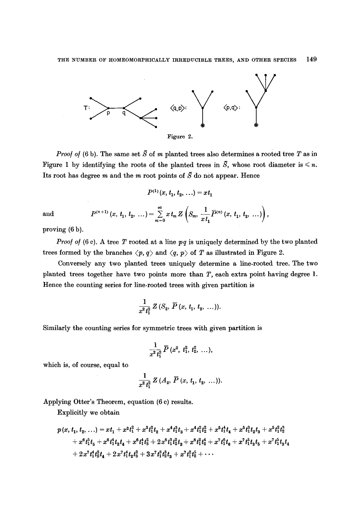

Figure 2.

*Proof of (6 b).* The same set  $\overline{S}$  of m planted trees also determines a rooted tree T as in Figure 1 by identifying the roots of the planted trees in  $\overline{S}$ , whose root diameter is  $\leq n$ . Its root has degree m and the m root points of  $\bar{S}$  do not appear. Hence

$$
P^{(1)}(x, t_1, t_2, \ldots) = x t_1
$$

and

$$
P^{(n+1)}(x, t_1, t_2, \ldots) = \sum_{m=0}^{\infty} x t_m Z\left(S_m, \frac{1}{x t_1} \overline{P}^{(n)}(x, t_1, t_2, \ldots)\right),
$$

proving (6 b).

*Proof of* (6 c). A tree T rooted at a line  $pq$  is uniquely determined by the two planted trees formed by the branches  $\langle p, q \rangle$  and  $\langle q, p \rangle$  of T as illustrated in Figure 2.

Conversely any two planted trees uniquely determine a line-rooted tree. The two planted trees together have two points more than T, each extra point having degree 1. Hence the counting series for line-rooted trees with given partition is

$$
\frac{1}{x^2 t_1^2} Z(S_2, \overline{P}(x, t_1, t_2, ...)).
$$

Similarly the counting series for symmetric trees with given partition is

$$
\frac{1}{x^2 t_1^2} \overline{P}(x^2, t_1^2, t_2^2, \ldots),
$$

which is, of course, equal to

$$
\frac{1}{x^2 t_1^2} Z(A_2, \overline{P}(x, t_1, t_2, ...)).
$$

Applying Otter's Theorem, equation (6 c) results.

Explicitly we obtain

$$
p(x, t_1, t_2, \ldots) = xt_1 + x^2t_1^2 + x^3t_1^2t_2 + x^4t_1^3t_3 + x^4t_1^2t_2^2 + x^5t_1^4t_4 + x^5t_1^3t_2t_3 + x^5t_1^2t_2^3
$$
  
+  $x^6t_1^5t_5 + x^6t_1^4t_2t_4 + x^6t_1^4t_3^2 + 2x^6t_1^3t_2^2t_3 + x^6t_1^2t_2^4 + x^7t_1^5t_6 + x^7t_1^5t_2t_5 + x^7t_1^5t_3t_4$   
+  $2x^7t_1^4t_2^2t_4 + 2x^7t_1^4t_2t_3^2 + 3x^7t_1^3t_2^2t_3 + x^7t_1^2t_2^5 + \cdots$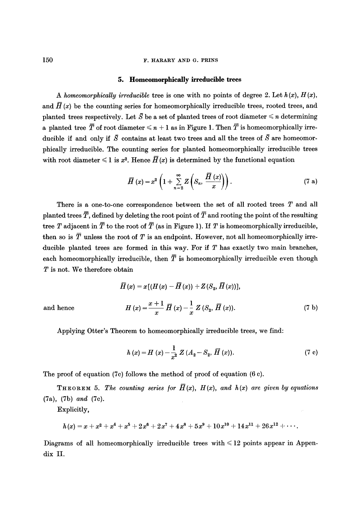## 150 F. HARARY AND G. PRINS

### **5. Homeomorphically irreducible trees**

*A homeomorphically irreducible* tree is one with no points of degree 2. Let  $h(x)$ ,  $H(x)$ , and  $\bar{H}(x)$  be the counting series for homeomorphically irreducible trees, rooted trees, and planted trees respectively. Let  $\bar{S}$  be a set of planted trees of root diameter  $\leq n$  determining a planted tree  $\overline{T}$  of root diameter  $\leq n+1$  as in Figure 1. Then  $\overline{T}$  is homeomorphically irreducible if and only if  $\bar{S}$  contains at least two trees and all the trees of  $\bar{S}$  are homeomorphieal!y irreducible. The counting series for planted homeomorphically irreducible trees with root diameter  $\leq 1$  is  $x^2$ . Hence  $\overline{H}(x)$  is determined by the functional equation

$$
\overline{H}(x) = x^2 \left( 1 + \sum_{n=2}^{\infty} Z\left(S_n, \frac{\overline{H}(x)}{x}\right) \right).
$$
 (7 a)

There is a one-to-one correspondence between the set of all rooted trees T and all planted trees  $\overline{T}$ , defined by deleting the root point of  $\overline{T}$  and rooting the point of the resulting tree T adjacent in  $\overline{T}$  to the root of  $\overline{T}$  (as in Figure 1). If T is homeomorphically irreducible, then so is  $\overline{T}$  unless the root of T is an endpoint. However, not all homeomorphically irreducible planted trees are formed in this way. For if  $T$  has exactly two main branches, each homeomorphically irreducible, then  $\overline{T}$  is homeomorphically irreducible even though T is not. We therefore obtain

$$
\overline{H}(x) = x[(H(x) - \overline{H}(x)) + Z(S_2, \overline{H}(x))],
$$
  

$$
H(x) = \frac{x+1}{x} \overline{H}(x) - \frac{1}{x} Z(S_2, \overline{H}(x)).
$$
 (7 b)

and hence

Applying Otter's Theorem to homeomorphically irreducible trees, we find:

$$
h(x) = H(x) - \frac{1}{x^2} Z (A_2 - S_2, \overline{H}(x)).
$$
 (7 c)

The proof of equation (7c) follows the method of proof of equation (6 c).

**THEOREM 5.** The counting series for  $\overline{H}(x)$ ,  $H(x)$ , and  $h(x)$  are given by equations (7a), (7b) *and* (7e).

Explicitly,

 $h(x) = x + x^2 + x^4 + x^5 + 2x^6 + 2x^7 + 4x^8 + 5x^9 + 10x^{10} + 14x^{11} + 26x^{12} + \cdots$ 

Diagrams of all homeomorphically irreducible trees with  $\leq 12$  points appear in Appendix II.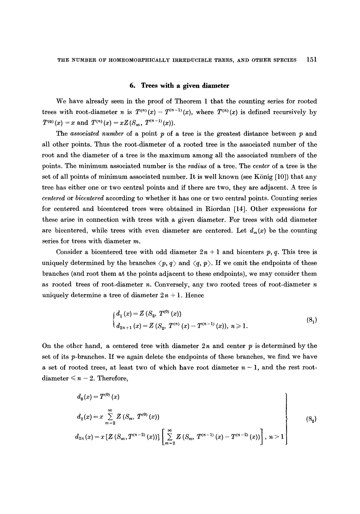#### 6. Trees with a given diameter

We have already seen in the proof of Theorem 1 that the counting series for rooted trees with root-diameter n is  $T^{(n)}(x) - T^{(n-1)}(x)$ , where  $T^{(n)}(x)$  is defined recursively by  $T^{(0)}(x) = x$  and  $T^{(n)}(x) = xZ(S_{\infty}, T^{(n-1)}(x)).$ 

The *associated number* of a point p of a tree is the greatest distance between p and all other points. Thus the root-diameter of a rooted tree is the associated number of the root and the diameter of a tree is the maximum among all the associated numbers of the points. The minimum associated number is the *radius* of a tree. The *center* of a tree is the set of all points of minimum associated number. It is well known (see König [10]) that any tree has either one or two central points and if there are two, they are adjacent. A tree is *centered* or *bicentered* according to whether it has one or two central points. Counting series for centered and bicentered trees were obtained in Riordan [14]. Other expressions for these arise in connection with trees with a given diameter. For trees with odd diameter are bicentered, while trees with even diameter are centered. Let  $d_m(x)$  be the counting series for trees with diameter m.

Consider a bicentered tree with odd diameter  $2n + 1$  and bicenters p, q. This tree is uniquely determined by the branches  $\langle p, q \rangle$  and  $\langle q, p \rangle$ . If we omit the endpoints of these branches (and root them at the points adjacent to these endpoints), we may consider them as rooted trees of root-diameter n. Conversely, any two rooted trees of root-diameter  $n$ uniquely determine a tree of diameter  $2n + 1$ . Hence

$$
\begin{cases} d_1(x) = Z(S_2, T^{(0)}(x)) \\ d_{2n+1}(x) = Z(S_2, T^{(n)}(x) - T^{(n-1)}(x)), n \ge 1. \end{cases} (8_1)
$$

On the other hand, a centered tree with diameter  $2n$  and center  $p$  is determined by the set of its p-branches. If we again delete the endpoints of these branches, we find we have a set of rooted trees, at least two of which have root diameter  $n-1$ , and the rest rootdiameter  $\leq n-2$ . Therefore,

$$
d_{0}(x) = T^{(0)}(x)
$$
\n
$$
d_{2}(x) = x \sum_{m=2}^{\infty} Z(S_{m}, T^{(0)}(x))
$$
\n
$$
d_{2n}(x) = x [Z(S_{\infty}, T^{(n-2)}(x))] \left[ \sum_{m=2}^{\infty} Z(S_{m}, T^{(n-1)}(x) - T^{(n-2)}(x)) \right], n > 1
$$
\n(8<sub>2</sub>)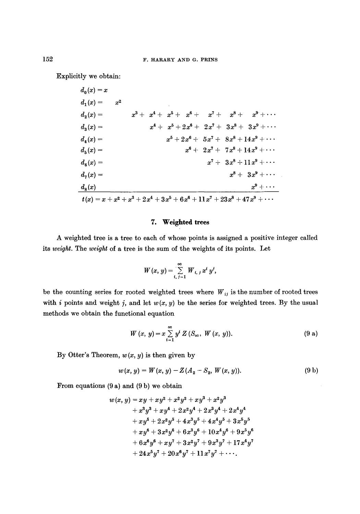Explicitly we obtain:

| $d_0(x)=x$                                                                   |       |  |  |  |                                                                |  |
|------------------------------------------------------------------------------|-------|--|--|--|----------------------------------------------------------------|--|
| $d_1(x) =$                                                                   | $x^2$ |  |  |  |                                                                |  |
| $d_2(x) =$                                                                   |       |  |  |  | $x^3 + x^4 + x^5 + x^6 + x^7 + x^8 + x^9 + \cdots$             |  |
| $d_3(x) =$                                                                   |       |  |  |  | $x^4 + x^5 + 2x^6 + 2x^7 + 3x^8 + 3x^9 + \cdots$               |  |
| $d_4(x) =$                                                                   |       |  |  |  | $x^5 + 2x^6 + 5x^7 + 8x^8 + 14x^9 + \cdots$                    |  |
| $d_{5}(x) =$                                                                 |       |  |  |  | $x^6$ + 2x <sup>7</sup> + 7x <sup>8</sup> + 14x <sup>9</sup> + |  |
| $d_6(x) =$                                                                   |       |  |  |  | $x^7 + 3x^8 + 11x^9 + \cdots$                                  |  |
| $d_7(x) =$                                                                   |       |  |  |  | $x^8 + 3x^9 + \cdots$                                          |  |
| $d_{\rm g}(x)$                                                               |       |  |  |  | $x^9 + \cdots$                                                 |  |
| $t(x) = x + x^2 + x^3 + 2x^4 + 3x^5 + 6x^6 + 11x^7 + 23x^8 + 47x^9 + \cdots$ |       |  |  |  |                                                                |  |

## **7. Weighted trees**

A weighted tree is a tree to each of whose points is assigned a positive integer called its *weight.* The *weight* of a tree is the sum of the weights of its points. Let

$$
W(x, y) = \sum_{i, j=1}^{\infty} W_{i, j} x^{i} y^{j},
$$

be the counting series for rooted weighted trees where  $W_{ij}$  is the number of rooted trees with i points and weight j, and let  $w(x, y)$  be the series for weighted trees. By the usual methods we obtain the functional equation

$$
W(x, y) = x \sum_{i=1}^{\infty} y^{i} Z(S_{\infty}, W(x, y)).
$$
 (9 a)

By Otter's Theorem,  $w(x, y)$  is then given by

 $w(x, y) = W(x, y) - Z(A_2 - S_2, W(x, y)).$  (9 b)

From equations (9 a) and (9 b) we obtain

$$
w(x, y) = xy + xy^{2} + x^{2}y^{2} + xy^{3} + x^{2}y^{3}
$$
  
+  $x^{3}y^{3} + xy^{4} + 2x^{2}y^{4} + 2x^{3}y^{4} + 2x^{4}y^{4}$   
+  $xy^{5} + 2x^{2}y^{5} + 4x^{3}y^{5} + 4x^{4}y^{5} + 3x^{5}y^{5}$   
+  $xy^{6} + 3x^{2}y^{6} + 6x^{3}y^{6} + 10x^{4}y^{6} + 9x^{5}y^{6}$   
+  $6x^{6}y^{6} + xy^{7} + 3x^{2}y^{7} + 9x^{3}y^{7} + 17x^{4}y^{7}$   
+  $24x^{5}y^{7} + 20x^{6}y^{7} + 11x^{7}y^{7} + \cdots$ 

152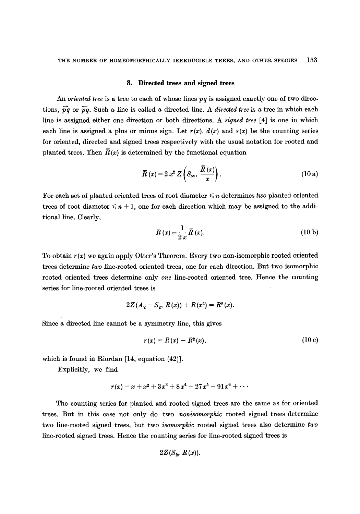#### 8. Directed trees and signed trees

An *oriented tree* is a tree to each of whose lines *pq* is assigned exactly one of two directions,  $\vec{pq}$  or  $\vec{pq}$ . Such a line is called a directed line. A *directed tree* is a tree in which each line is assigned either one direction or both directions. A *signed tree* [4] is one in which each line is assigned a plus or minus sign. Let  $r(x)$ ,  $d(x)$  and  $s(x)$  be the counting series for oriented, directed and signed trees respectively with the usual notation for rooted and planted trees. Then  $\bar{R}(x)$  is determined by the functional equation

$$
\overline{R}(x) = 2 x^2 Z\left(S_{\infty}, \frac{\overline{R}(x)}{x}\right). \tag{10 a}
$$

For each set of planted oriented trees of root diameter  $\leq n$  determines *two* planted oriented trees of root diameter  $\leq n + 1$ , one for each direction which may be assigned to the additional line. Clearly,

$$
R\left(x\right) = \frac{1}{2 x} \overline{R}\left(x\right). \tag{10 b}
$$

To obtain  $r(x)$  we again apply Otter's Theorem. Every two non-isomorphic rooted oriented trees determine *two* line-rooted oriented trees, one for each direction. But two isomorphic rooted oriented trees determine only one line-rooted oriented tree. Hence the counting series for line-rooted oriented trees is

$$
2Z(A_2-S_2, R(x)) + R(x^2) = R^2(x).
$$

Since a directed line cannot be a symmetry line, this gives

$$
r(x) = R(x) - R^{2}(x),
$$
 (10 c)

which is found in Riordan [14, equation (42)].

Explicitly, we find

$$
r(x) = x + x^2 + 3x^3 + 8x^4 + 27x^5 + 91x^6 + \cdots
$$

The counting series for planted and rooted signed trees are the same as for oriented trees. But in this case not only do two *nonisomorphic* rooted signed trees determine two line-rooted signed trees, but two *isomorphic* rooted signed trees also determine *two*  line-rooted signed trees. Hence the counting series for line-rooted signed trees is

$$
2Z(S_2, R(x)).
$$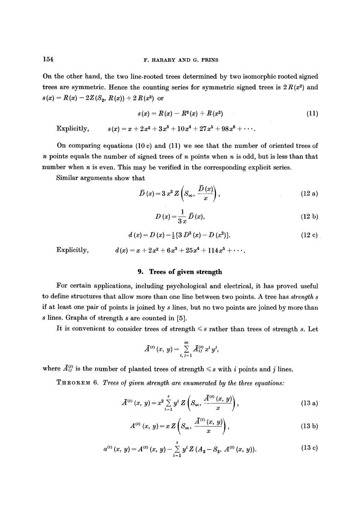On the other hand, the two line-rooted trees determined by two isomorphic rooted signed trees are symmetric. Hence the counting series for symmetric signed trees is  $2 R(x^2)$  and  $s(x) = R(x) - 2Z(S_2, R(x)) + 2R(x^2)$  or

$$
s(x) = R(x) - R^{2}(x) + R(x^{2})
$$
 (11)

Explicitly,  $s(x) = x + 2x^2 + 3x^3 + 10x^4 + 27x^5 + 98x^6 + \cdots$ 

On comparing equations (10 c) and (11) we see that the number of oriented trees of  $n$  points equals the number of signed trees of  $n$  points when  $n$  is odd, but is less than that number when  $n$  is even. This may be verified in the corresponding explicit series.

Similar arguments show that

$$
\bar{D}(x) = 3 x^2 Z\left(S_{\infty}, \frac{\bar{D}(x)}{x}\right),\tag{12 a}
$$

$$
D(x) = \frac{1}{3x}\overline{D}(x),\tag{12.b}
$$

$$
d(x) = D(x) - \frac{1}{2} [3 D^{2}(x) - D(x^{2})].
$$
 (12 c)

Explicitly,  $d\left( x \right) = x + 2\,{x}^{2} + 6\,{x}^{3} + 25\,{x}^{4} + 114\,{x}^{5} + \cdots.$ 

## 9. Trees of **given strength**

For certain applications, including psychological and electrical, it has proved useful to define structures that allow more than one line between two points. A tree has *strength s*  if at least one pair of points is joined by s lines, but no two points are joined by more than s lines. Graphs of strength s are counted in [5].

It is convenient to consider trees of strength  $\leq s$  rather than trees of strength s. Let

$$
\bar{A}^{(s)}(x, y) = \sum_{i, j=1}^{\infty} \bar{A}^{(s)}_{ij} x^i y^j,
$$

where  $\bar{A}_{ij}^{(s)}$  is the number of planted trees of strength  $\leq s$  with i points and j lines.

THEOREM 6. *Trees of given strength are enumerated by the three equations:* 

$$
\bar{A}^{(s)}(x, y) = x^2 \sum_{i=1}^s y^i Z\left(S_\infty, \frac{\bar{A}^{(s)}(x, y)}{x}\right),
$$
\n(13 a)

$$
A^{(s)}(x, y) = x Z\left(S_{\infty}, \frac{\overline{A}^{(s)}(x, y)}{x}\right), \qquad (13 b)
$$

$$
a^{(s)}(x, y) = A^{(s)}(x, y) - \sum_{i=1}^{s} y^{i} Z (A_2 - S_2, A^{(s)}(x, y)).
$$
 (13 c)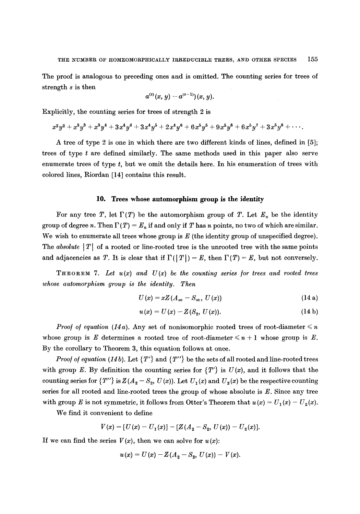The proof is analogous to preceding ones and is omitted. The counting series for trees of strength s is then

$$
a^{(s)}(x, y) - a^{(s-1)}(x, y).
$$

Explicitly, the counting series for trees of strength 2 is

$$
x^2y^2 + x^3y^3 + x^3y^4 + 3x^4y^4 + 3x^4y^5 + 2x^4y^6 + 6x^5y^5 + 9x^5y^6 + 6x^5y^7 + 3x^5y^8 + \cdots
$$

A tree of type 2 is one in which there are two different kinds of lines, defined in [5]; trees of type  $t$  are defined similarly. The same methods used in this paper also serve enumerate trees of type  $t$ , but we omit the details here. In his enumeration of trees with colored lines, Riordan [14] contains this result.

### 10. Trees whose automorphism group is the identity

For any tree T, let  $\Gamma(T)$  be the automorphism group of T. Let  $E_n$  be the identity group of degree n. Then  $\Gamma(T) = E_n$  if and only if T has n points, no two of which are similar. We wish to enumerate all trees whose group is  $E$  (the identity group of unspecified degree). The *absolute*  $|T|$  of a rooted or line-rooted tree is the unrooted tree with the same points and adjacencies as T. It is clear that if  $\Gamma(|T|) = E$ , then  $\Gamma(T) = E$ , but not conversely.

THEOREM 7. Let  $u(x)$  and  $U(x)$  be the counting series for trees and rooted trees *whose automorphism group is the identity. Then* 

$$
U(x) = xZ(A_{\infty} - S_{\infty}, U(x))
$$
\n(14 a)

$$
u(x) = U(x) - Z(S_2, U(x)).
$$
 (14 b)

*Proof of equation (14a).* Any set of nonisomorphic rooted trees of root-diameter  $\leq n$ whose group is E determines a rooted tree of root-diameter  $\leq n+1$  whose group is E. By the corollary to Theorem 3, this equation follows at once.

*Proof of equation (14b).* Let  $\{T'\}$  and  $\{T''\}$  be the sets of all rooted and line-rooted trees with group E. By definition the counting series for  $\{T'\}$  is  $U(x)$ , and it follows that the counting series for  $\{T''\}$  is  $Z(A_2 - S_2, U(x))$ . Let  $U_1(x)$  and  $U_2(x)$  be the respective counting series for all rooted and line-rooted trees the group of whose absolute is  $E$ . Since any tree with group E is not symmetric, it follows from Otter's Theorem that  $u(x) = U_1(x) - U_2(x)$ .

We find it convenient to define

$$
V(x) = [U(x) - U_1(x)] - [Z(A_2 - S_2, U(x)) - U_2(x)].
$$

If we can find the series  $V(x)$ , then we can solve for  $u(x)$ :

$$
u(x) = U(x) - Z(A_2 - S_2, U(x)) - V(x).
$$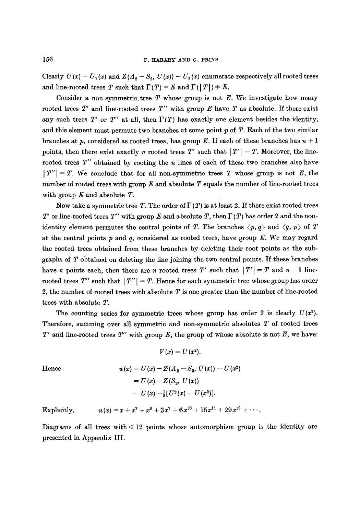## 156 F. HARARY AND G. PRINS

Clearly  $U(x) - U_1(x)$  and  $Z(A_2 - S_3, U(x)) - U_2(x)$  enumerate respectively all rooted trees and line-rooted trees T such that  $\Gamma(T) = E$  and  $\Gamma(|T|) + E$ .

Consider a non-symmetric tree  $T$  whose group is not  $E$ . We investigate how many rooted trees  $T'$  and line-rooted trees  $T''$  with group E have T as absolute. If there exist any such trees T' or T'' at all, then  $\Gamma(T)$  has exactly one element besides the identity, and this element must permute two branches at some point  $p$  of  $T$ . Each of the two similar branches at p, considered as rooted trees, has group E. If each of these branches has  $n + 1$ points, then there exist exactly n rooted trees T' such that  $|T'| = T$ . Moreover, the linerooted trees  $T''$  obtained by rooting the n lines of each of these two branches also have  $|T''| = T$ . We conclude that for all non-symmetric trees T whose group is not E, the number of rooted trees with group  $E$  and absolute  $T$  equals the number of line-rooted trees with group  $E$  and absolute  $T$ .

Now take a symmetric tree T. The order of  $\Gamma(T)$  is at least 2. If there exist rooted trees T' or line-rooted trees T'' with group E and absolute T, then  $\Gamma(T)$  has order 2 and the nonidentity element permutes the central points of T. The branches  $\langle p, q \rangle$  and  $\langle q, p \rangle$  of T at the central points  $p$  and  $q$ , considered as rooted trees, have group  $E$ . We may regard the rooted trees obtained from these branches by deleting their root points as the subgraphs of T obtained on deleting the line joining the two central points. If these branches have n points each, then there are n rooted trees T' such that  $|T'| = T$  and  $n - 1$  linerooted trees T" such that  $|T''| = T$ . Hence for each symmetric tree whose group has order 2, the number of rooted trees with absolute  $T$  is one greater than the number of line-rooted trees with absolute T.

The counting series for symmetric trees whose group has order 2 is clearly  $U(x^2)$ . Therefore, summing over all symmetric and non-symmetric absolutes  $T$  of rooted trees  $T'$  and line-rooted trees  $T''$  with group  $E$ , the group of whose absolute is not  $E$ , we have:

$$
V\left( x\right) =U\left( x^{2}\right) .
$$

Hence  
\n
$$
u(x) = U(x) - Z(A_2 - S_2, U(x)) - U(x^2)
$$
\n
$$
= U(x) - Z(S_2, U(x))
$$
\n
$$
= U(x) - \frac{1}{2}[U^2(x) + U(x^2)].
$$

Explicitly,  $u(x) = x + x^7 + x^8 + 3x^9 + 6x^{10} + 15x^{11} + 29x^{12} + \cdots$ 

Diagrams of all trees with  $\leq 12$  points whose automorphism group is the identity are presented in Appendix III.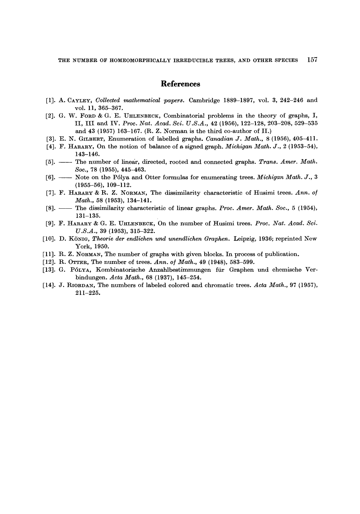## **References**

- [1]. A. CAYLEY~ *Collected mathematical papers.* Cambridge 1889-1897, vol. 3, 242-246 and vol. 11,365-367.
- [2]. G. W. FORD & G. E. UHLENBECK, Combinatorial problems in the theory of graphs, I, II, III and IV. *Prec. Nat. Acad. Sci. U.S.A.,* 42 (I956), 122-128, 203-208, 529-535 and 43 (1957) 163-167. (R. Z. Norman is the third co-author of II.)
- [3]. E. N. GILBERT, Enumeration of labelled graphs. *Canadian J. Math.,* 8 (1956), 405-411.
- [4]. F. HARARY, On the notion of balance of a signed graph. *Michigan Math.* J., 2 (1953-54), 143-146.
- [5]. -- The number of linear, directed, rooted and connected graphs. *Trans. Amer. Math. Soc.,* 78 (1955), 445-463.
- [6]. -- Note on the Pólya and Otter formulas for enumerating trees. *Michigan Math. J.*, 3 (1955-56), 109-112.
- [7]. F. HARARY & R. Z. NORMAN, The dissimilarity characteristic of Husimi trees. *Ann. of Math.,* 58 (1953), 134-141.
- [8]. -- The dissimilarity characteristic of linear graphs. *Proc. Amer. Math. Soc.*, 5 (1954), 131-135.
- [9]. F. HARARY & G. E. UHLENRECK, On the number of Husimi trees. *Prec. Nat. Aead. Sci. U.S.A.,* 39 (1953), 315-322.
- [10]. D. KSNIG, *Theoric der endlichen und unencllichen Graphen.* Leipzig, 1936; reprinted New York, 1950.
- [11]. R. Z. NORMAN, The number of graphs with given blocks. In process of publication.
- [12]. R. OTTER, The number of trees. *Ann. o/Math.,* 49 (1948), 583-599.
- [13]. G. Pólya, Kombinatorische Anzahlbestimmungen für Graphen und chemische Verbindungen. *Acta Math.,* 68 (1937), 145-254.
- [14]. J. RIORDAN, The numbers of labeled colored and chromatic trees. *Acta Math.,* 97 {1957), 211-225.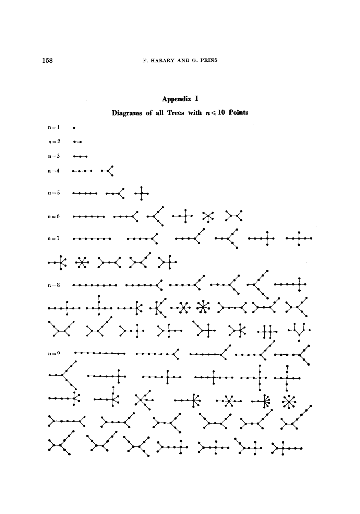## Appendix I



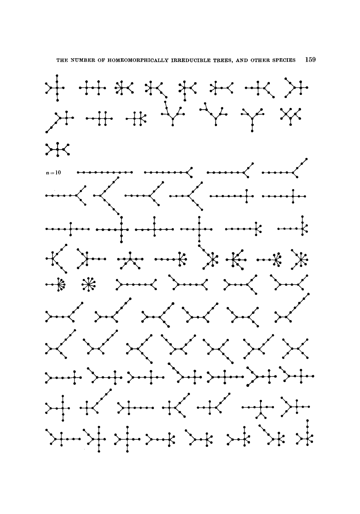

159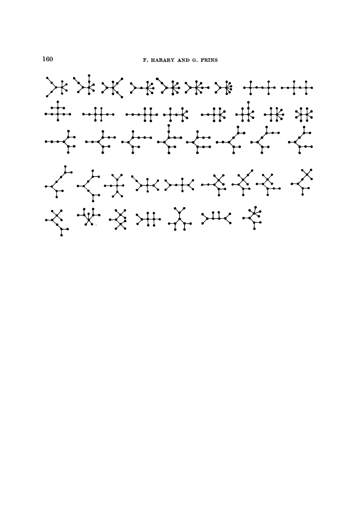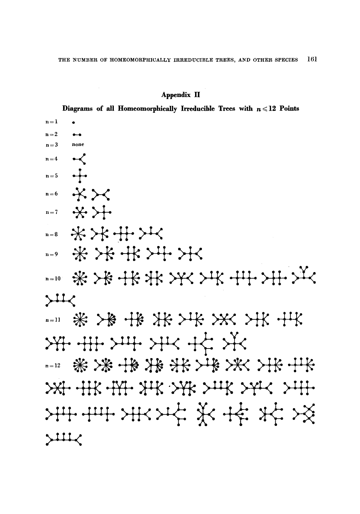## **Appendix H**

Diagrams of all Homeomorphically Irreducible Trees with  $n \leq 12$  Points

| $n = 1$          |                                             |
|------------------|---------------------------------------------|
| $n = 2$          |                                             |
| $n = 3$          | none                                        |
| $n = 4$          | $\prec$                                     |
| $n = 5$          | $\div$                                      |
| $\mathbf{n=6}$   | $\star \times$                              |
| $\mathbf{n}=7$   | $\star$                                     |
| $n = 8$          | **++                                        |
|                  | --9 米>长+K>++>+<                             |
|                  |                                             |
| $\sum_{i=1}^{n}$ |                                             |
| $n = 11$         |                                             |
|                  | 羊串羊羊牛米                                      |
| $n = 12$         | ** >* +* ** ** >+* >*< >+* ++*              |
|                  | >XI · HK · HI · XHK ·>YK >+HK ·>YI< ·>+HI · |
|                  | **************                              |
| $\sum_{i=1}^{n}$ |                                             |